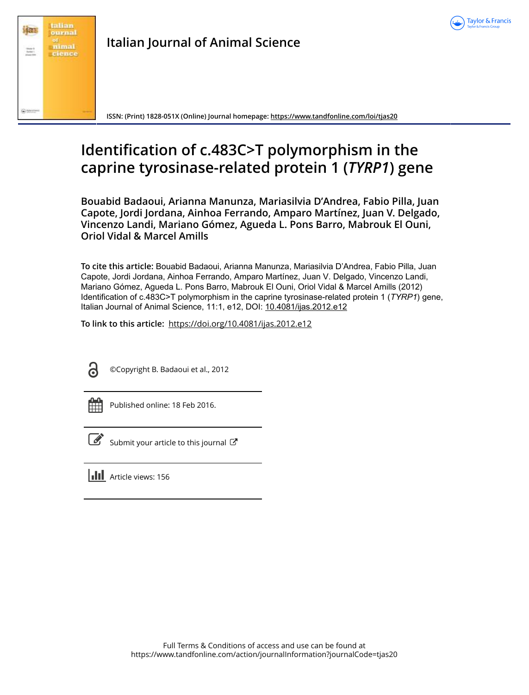



## **Italian Journal of Animal Science**

**ISSN: (Print) 1828-051X (Online) Journal homepage: <https://www.tandfonline.com/loi/tjas20>**

# **Identification of c.483C>T polymorphism in the caprine tyrosinase-related protein 1 (***TYRP1***) gene**

**Bouabid Badaoui, Arianna Manunza, Mariasilvia D'Andrea, Fabio Pilla, Juan Capote, Jordi Jordana, Ainhoa Ferrando, Amparo Martínez, Juan V. Delgado, Vincenzo Landi, Mariano Gómez, Agueda L. Pons Barro, Mabrouk El Ouni, Oriol Vidal & Marcel Amills**

**To cite this article:** Bouabid Badaoui, Arianna Manunza, Mariasilvia D'Andrea, Fabio Pilla, Juan Capote, Jordi Jordana, Ainhoa Ferrando, Amparo Martínez, Juan V. Delgado, Vincenzo Landi, Mariano Gómez, Agueda L. Pons Barro, Mabrouk El Ouni, Oriol Vidal & Marcel Amills (2012) Identification of c.483C>T polymorphism in the caprine tyrosinase-related protein 1 (*TYRP1*) gene, Italian Journal of Animal Science, 11:1, e12, DOI: [10.4081/ijas.2012.e12](https://www.tandfonline.com/action/showCitFormats?doi=10.4081/ijas.2012.e12)

**To link to this article:** <https://doi.org/10.4081/ijas.2012.e12>

©Copyright B. Badaoui et al., 2012

|  | - |  |
|--|---|--|
|  |   |  |
|  |   |  |
|  |   |  |

Published online: 18 Feb 2016.



[Submit your article to this journal](https://www.tandfonline.com/action/authorSubmission?journalCode=tjas20&show=instructions)  $\mathbb{Z}$ 

**III** Article views: 156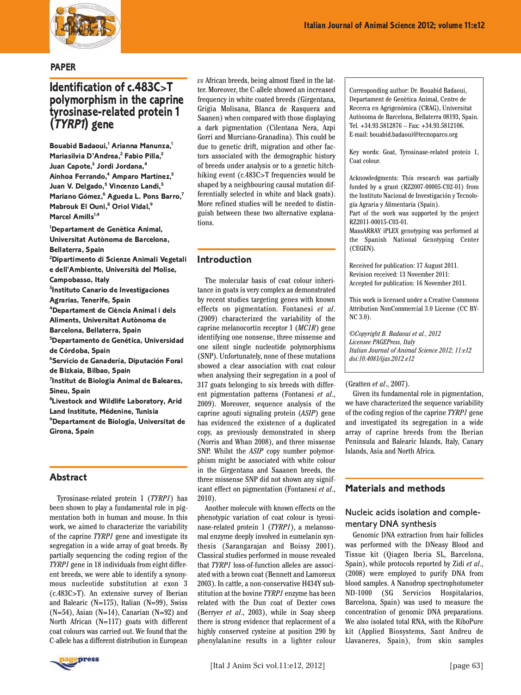

#### **PAPER**

### **Identification of c.483C>T polymorphism in the caprine tyrosinase-related protein 1 (TYRP1) gene**

**Bouabid Badaoui,1 Arianna Manunza,1 Mariasilvia D'Andrea,2 Fabio Pilla,2 Juan Capote,3 Jordi Jordana,4 Ainhoa Ferrando,4 Amparo Martínez,5** Juan V. Delgado,<sup>5</sup> Vincenzo Landi,<sup>5</sup> **Mariano Gómez,6 Agueda L. Pons Barro,7 Mabrouk El Ouni,<sup>8</sup> Oriol Vidal,<sup>9</sup> Marcel Amills**<sup>1,4</sup>

**1 Departament de Genètica Animal, Universitat Autònoma de Barcelona, Bellaterra, Spain**

**2 Dipartimento di Scienze Animali Vegetali e dell'Ambiente, Università del Molise,**

**Campobasso, Italy**

**3 Instituto Canario de Investigaciones Agrarias, Tenerife, Spain**

**4 Departament de Ciència Animal i dels Aliments, Universitat Autònoma de Barcelona, Bellaterra, Spain**

**5 Departamento de Genética, Universidad de Córdoba, Spain**

**6 Servicio de Ganadería, Diputación Foral de Bizkaia, Bilbao, Spain**

**7 Institut de Biologia Animal de Baleares, Sineu, Spain**

**8 Livestock and Wildlife Laboratory, Arid Land Institute, Médenine, Tunisia 9 Departament de Biologia, Universitat de Girona, Spain**

#### **Abstract**

Tyrosinase-related protein 1 (*TYRP1*) has been shown to play a fundamental role in pigmentation both in human and mouse. In this work, we aimed to characterize the variability of the caprine *TYRP1* gene and investigate its segregation in a wide array of goat breeds. By partially sequencing the coding region of the *TYRP1* gene in 18 individuals from eight different breeds, we were able to identify a synonymous nucleotide substitution at exon 3 (c.483C>T). An extensive survey of Iberian and Balearic (N=175), Italian (N=99), Swiss  $(N=54)$ , Asian  $(N=14)$ , Canarian  $(N=92)$  and North African (N=117) goats with different coat colours was carried out. We found that the C-allele has a different distribution in European



*vs* African breeds, being almost fixed in the latter. Moreover, the C-allele showed an increased frequency in white coated breeds (Girgentana, Grigia Molisana, Blanca de Rasquera and Saanen) when compared with those displaying a dark pigmentation (Cilentana Nera, Azpi Gorri and Murciano-Granadina). This could be due to genetic drift, migration and other factors associated with the demographic history of breeds under analysis or to a genetic hitchhiking event (c.483C>T frequencies would be shaped by a neighbouring causal mutation differentially selected in white and black goats). More refined studies will be needed to distinguish between these two alternative explanations.

#### **Introduction**

The molecular basis of coat colour inheritance in goats is very complex as demonstrated by recent studies targeting genes with known effects on pigmentation. Fontanesi *et al*. (2009) characterized the variability of the caprine melanocortin receptor 1 (*MC1R*) gene identifying one nonsense, three missense and one silent single nucleotide polymorphisms (SNP). Unfortunately, none of these mutations showed a clear association with coat colour when analysing their segregation in a pool of 317 goats belonging to six breeds with different pigmentation patterns (Fontanesi *et al*., 2009). Moreover, sequence analysis of the caprine agouti signaling protein (*ASIP*) gene has evidenced the existence of a duplicated copy, as previously demonstrated in sheep (Norris and Whan 2008), and three missense SNP. Whilst the *ASIP* copy number polymorphism might be associated with white colour in the Girgentana and Saaanen breeds, the three missense SNP did not shown any significant effect on pigmentation (Fontanesi *et al*., 2010).

Another molecule with known effects on the phenotypic variation of coat colour is tyrosinase-related protein 1 (*TYRP1*), a melanosomal enzyme deeply involved in eumelanin synthesis (Sarangarajan and Boissy 2001). Classical studies performed in mouse revealed that *TYRP1* loss-of-function alleles are associated with a brown coat (Bennett and Lamoreux 2003). In cattle, a non-conservative H434Y substitution at the bovine *TYRP1* enzyme has been related with the Dun coat of Dexter cows (Berryer *et al*., 2003), while in Soay sheep there is strong evidence that replacement of a highly conserved cysteine at position 290 by phenylalanine results in a lighter colour Corresponding author: Dr. Bouabid Badaoui, Departament de Genètica Animal, Centre de Recerca en Agrigenòmica (CRAG), Universitat Autònoma de Barcelona, Bellaterra 08193, Spain. Tel. +34.93.5812876 – Fax: +34.93.5812106. E-mail: bouabid.badaoui@tecnoparco.org

Key words: Goat, Tyrosinase-related protein 1, Coat colour.

Acknowledgments: This research was partially funded by a grant (RZ2007-00005-C02-01) from the Instituto Nacional de Investigación y Tecnología Agraria y Alimentaria (Spain).

Part of the work was supported by the project RZ2011-00015-C03-01.

MassARRAY iPLEX genotyping was performed at the Spanish National Genotyping Center (CEGEN).

Received for publication: 17 August 2011. Revision received: 13 November 2011: Accepted for publication: 16 November 2011.

This work is licensed under a Creative Commons Attribution NonCommercial 3.0 License (CC BY-NC 3.0).

*©Copyright B. Badaoui et al., 2012 Licensee PAGEPress, Italy Italian Journal of Animal Science 2012; 11:e12 doi:10.4081/ijas.2012.e12*

#### (Gratten *et al*., 2007).

Given its fundamental role in pigmentation, we have characterized the sequence variability of the coding region of the caprine *TYRP1* gene and investigated its segregation in a wide array of caprine breeds from the Iberian Peninsula and Balearic Islands, Italy, Canary Islands, Asia and North Africa.

#### **Materials and methods**

#### Nucleic acids isolation and complementary DNA synthesis

Genomic DNA extraction from hair follicles was performed with the DNeasy Blood and Tissue kit (Qiagen Iberia SL, Barcelona, Spain), while protocols reported by Zidi *et al*., (2008) were employed to purify DNA from blood samples. A Nanodrop spectrophotometer ND-1000 (SG Servicios Hospitalarios, Barcelona, Spain) was used to measure the concentration of genomic DNA preparations. We also isolated total RNA, with the RiboPure kit (Applied Biosystems, Sant Andreu de Llavaneres, Spain), from skin samples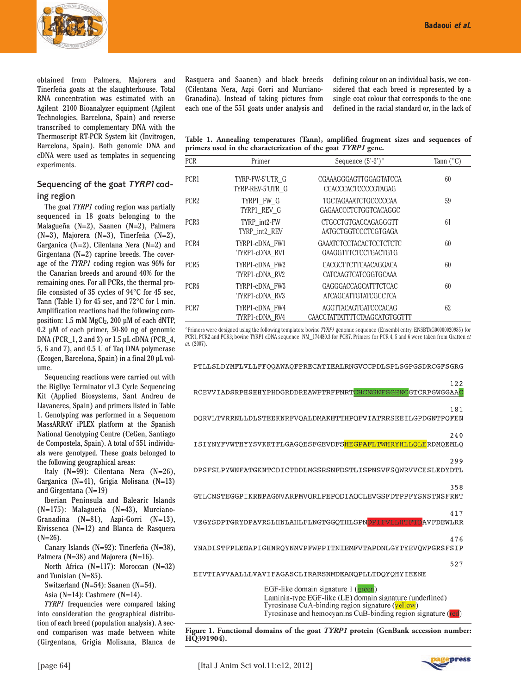

obtained from Palmera, Majorera and Tinerfeña goats at the slaughterhouse. Total RNA concentration was estimated with an Agilent 2100 Bioanalyzer equipment (Agilent Technologies, Barcelona, Spain) and reverse transcribed to complementary DNA with the Thermoscript RT-PCR System kit (Invitrogen, Barcelona, Spain). Both genomic DNA and cDNA were used as templates in sequencing experiments.

#### Sequencing of the goat TYRP1 coding region

The goat *TYRP1* coding region was partially sequenced in 18 goats belonging to the Malagueña (N=2), Saanen (N=2), Palmera (N=3), Majorera (N=3), Tinerfeña (N=2), Garganica (N=2), Cilentana Nera (N=2) and Girgentana (N=2) caprine breeds. The coverage of the *TYRP1* coding region was 96% for the Canarian breeds and around 40% for the remaining ones. For all PCRs, the thermal profile consisted of 35 cycles of 94°C for 45 sec, Tann (Table 1) for 45 sec, and 72°C for 1 min. Amplification reactions had the following composition: 1.5 mM MgCl<sub>2</sub>, 200 µM of each dNTP, 0.2 µM of each primer, 50-80 ng of genomic DNA (PCR\_1, 2 and 3) or 1.5 µL cDNA (PCR\_4, 5, 6 and 7), and 0.5 U of Taq DNA polymerase (Ecogen, Barcelona, Spain) in a final 20 µL volume.

Sequencing reactions were carried out with the BigDye Terminator v1.3 Cycle Sequencing Kit (Applied Biosystems, Sant Andreu de Llavaneres, Spain) and primers listed in Table 1. Genotyping was performed in a Sequenom MassARRAY iPLEX platform at the Spanish National Genotyping Centre (CeGen, Santiago de Compostela, Spain). A total of 551 individuals were genotyped. These goats belonged to the following geographical areas:

Italy (N=99): Cilentana Nera (N=26), Garganica (N=41), Grigia Molisana (N=13) and Girgentana (N=19)

Iberian Peninsula and Balearic Islands (N=175): Malagueña (N=43), Murciano-Granadina (N=81), Azpi-Gorri (N=13), Eivissenca (N=12) and Blanca de Rasquera  $(N=26)$ .

Canary Islands (N=92): Tinerfeña (N=38), Palmera (N=38) and Majorera (N=16).

North Africa (N=117): Moroccan (N=32) and Tunisian (N=85).

Switzerland (N=54): Saanen (N=54).

Asia (N=14): Cashmere (N=14).

*TYRP1* frequencies were compared taking into consideration the geographical distribution of each breed (population analysis). A second comparison was made between white (Girgentana, Grigia Molisana, Blanca de

Rasquera and Saanen) and black breeds (Cilentana Nera, Azpi Gorri and Murciano-Granadina). Instead of taking pictures from each one of the 551 goats under analysis and defining colour on an individual basis, we considered that each breed is represented by a single coat colour that corresponds to the one defined in the racial standard or, in the lack of

**Table 1. Annealing temperatures (Tann), amplified fragment sizes and sequences of primers used in the characterization of the goat** *TYRP1* **gene.**

| <b>PCR</b>       | Sequence $(5^{\degree}\text{-}3^{\degree})^{\circ}$<br>Primer |                                                               | Tann $(^{\circ}C)$ |  |
|------------------|---------------------------------------------------------------|---------------------------------------------------------------|--------------------|--|
| PCR <sub>1</sub> | TYRP-FW-5'UTR G<br>TYRP-REV-5'UTR G                           | CGAAAGGGAGTTGGAGTATCCA<br><b>CCACCCACTCCCCGTAGAG</b>          | 60                 |  |
| PCR <sub>2</sub> | TYRP1 FW G<br>TYRP1 REV G                                     | <b>TGCTAGAAATCTGCCCCCAA</b><br>GAGAACCCTCTGGTCACAGGC          | 59                 |  |
| PCR <sub>3</sub> | TYRP int2-FW<br>TYRP int2 REV                                 | <b>CTGCCTGTGACCAGAGGGTT</b><br>AATGCTGGTCCCTCGTGAGA           | 61                 |  |
| PCR4             | TYRP1-cDNA FW1<br>TYRP1-cDNA RV1                              | <b>GAAATCTCCTACACTCCTCTCTC</b><br><b>GAAGGTTTCTCCTGACTGTG</b> | 60                 |  |
| PCR <sub>5</sub> | TYRP1-cDNA FW2<br>TYRP1-cDNA RV2                              | CACGCTTCTTCAACAGGACA<br>CATCAAGTCATCGGTGCAAA                  | 60                 |  |
| PCR <sub>6</sub> | TYRP1-cDNA FW3<br>TYRP1-cDNA RV3                              | <b>GAGGGACCAGCATTTCTCAC</b><br>ATCAGCATTGTATCGCCTCA           | 60                 |  |
| PCR <sub>7</sub> | TYRP1-cDNA FW4<br>TYRP1-cDNA RV4                              | AGGTTACAGTGATCCCACAG<br>CAACCTATTATTTTCTAAGCATGTGGTTT         | 62                 |  |

°Primers were designed using the following templates: bovine *TYRP1* genomic sequence (Ensembl entry: ENSBTAG00000020985) for PCR1, PCR2 and PCR3; bovine TYRP1 cDNA sequence NM\_174480.3 for PCR7. Primers for PCR 4, 5 and 6 were taken from Gratten *et al.* (2007).

PTLLSLDYMFLVLLFFQQAWAQFPRECATIEALRNGVCCPDLSPLSGPGSDRCGFSGRG

| 122<br>RCEVVIADSRPHSHHYPHDGRDDREAWPTRFFNRTCHCNGNFSGHNCGTCRPGWGGAAC                                                                                                                                                   |
|----------------------------------------------------------------------------------------------------------------------------------------------------------------------------------------------------------------------|
| 181<br>DORVLTVRRNLLDLSTEEKNRFVOALDMAKHTTHPOFVIATRRSEEILGPDGNTPOFEN                                                                                                                                                   |
| 240<br>ISIYNYFVWTHYYSVKKTFLGAGQESFGEVDFSHEGPAFLTWHRYHLLQLERDMQEMLQ                                                                                                                                                   |
| 299<br>DPSFSLPYWNFATGKNTCDICTDDLMGSRSNFDSTLISPNSVFSOWRVVCESLEDYDTL                                                                                                                                                   |
| 358<br>GTLCNSTEGGPIKRNPAGNVARPMVORLPEPODIAOCLEVGSFDTPPFYSNSTNSFRNT                                                                                                                                                   |
| 417<br>VEGYSDPTGRYDPAVRSLHNLAHLFLNGTGGQTHLSPNDPIFVLLBTFTDAVFDEWLRR                                                                                                                                                   |
| 476<br>YNADISTFPLENAPIGHNROYNMVPFWPPITNIEMFVTAPDNLGYTYEVOWPGRSFSIP                                                                                                                                                   |
| 527<br>EIVTIAVVAALLLVAVIFAGASCLIRARSNMDEANOPLLTDOYOHYIEENE                                                                                                                                                           |
| EGF-like domain signature 1 (green)<br>Laminin-type EGF-like (LE) domain signature (underlined)<br>Tyrosinase CuA-binding region signature (vellow)<br>Tyrosinase and hemocyanins CuB-binding region signature (red) |

**Figure 1. Functional domains of the goat** *TYRP1* **protein (GenBank accession number: HQ391904).**

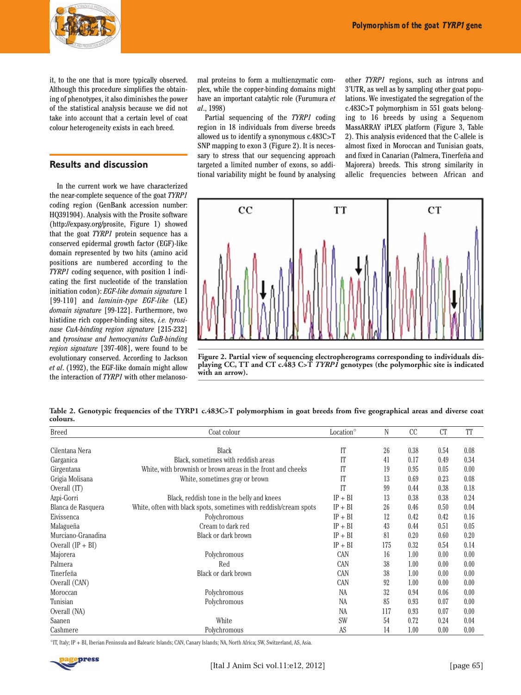

it, to the one that is more typically observed. Although this procedure simplifies the obtaining of phenotypes, it also diminishes the power of the statistical analysis because we did not take into account that a certain level of coat colour heterogeneity exists in each breed.

#### **Results and discussion**

In the current work we have characterized the near-complete sequence of the goat *TYRP1* coding region (GenBank accession number: HQ391904). Analysis with the Prosite software (http://expasy.org/prosite, Figure 1) showed that the goat *TYRP1* protein sequence has a conserved epidermal growth factor (EGF)-like domain represented by two hits (amino acid positions are numbered according to the *TYRP1* coding sequence, with position 1 indicating the first nucleotide of the translation initiation codon): *EGF-like domain signatur*e 1 [99-110] and *laminin-type EGF-like* (LE) *domain signature* [99-122]. Furthermore, two histidine rich copper-binding sites, *i.e. tyrosinase CuA-binding region signature* [215-232] and *tyrosinase and hemocyanins CuB-binding region signature* [397-408], were found to be evolutionary conserved. According to Jackson *et al*. (1992), the EGF-like domain might allow the interaction of *TYRP1* with other melanosomal proteins to form a multienzymatic complex, while the copper-binding domains might have an important catalytic role (Furumura *et al*., 1998)

Partial sequencing of the *TYRP1* coding region in 18 individuals from diverse breeds allowed us to identify a synonymous c.483C>T SNP mapping to exon 3 (Figure 2). It is necessary to stress that our sequencing approach targeted a limited number of exons, so additional variability might be found by analysing other *TYRP1* regions, such as introns and 3'UTR, as well as by sampling other goat populations. We investigated the segregation of the c.483C>T polymorphism in 551 goats belonging to 16 breeds by using a Sequenom MassARRAY iPLEX platform (Figure 3, Table 2). This analysis evidenced that the C-allele is almost fixed in Moroccan and Tunisian goats, and fixed in Canarian (Palmera, Tinerfeña and Majorera) breeds. This strong similarity in allelic frequencies between African and



**Figure 2. Partial view of sequencing electropherograms corresponding to individuals displaying CC, TT and CT c.483 C>T** *TYRP1* **genotypes (the polymorphic site is indicated with an arrow).**

**Table 2. Genotypic frequencies of the TYRP1 c.483C>T polymorphism in goat breeds from five geographical areas and diverse coat colours.**

| <b>Breed</b>        | Coat colour                                                       | Location <sup>o</sup> | N   | CC   | <sub>CT</sub> | TT   |
|---------------------|-------------------------------------------------------------------|-----------------------|-----|------|---------------|------|
|                     |                                                                   |                       |     |      |               |      |
| Cilentana Nera      | <b>Black</b>                                                      | IT                    | 26  | 0.38 | 0.54          | 0.08 |
| Garganica           | Black, sometimes with reddish areas                               | IT                    | 41  | 0.17 | 0.49          | 0.34 |
| Girgentana          | White, with brownish or brown areas in the front and cheeks       | IT                    | 19  | 0.95 | 0.05          | 0.00 |
| Grigia Molisana     | White, sometimes gray or brown                                    | IT                    | 13  | 0.69 | 0.23          | 0.08 |
| Overall (IT)        |                                                                   | IT                    | 99  | 0.44 | 0.38          | 0.18 |
| Azpi-Gorri          | Black, reddish tone in the belly and knees                        | $IP + BI$             | 13  | 0.38 | 0.38          | 0.24 |
| Blanca de Rasquera  | White, often with black spots, sometimes with reddish/cream spots | $IP + BI$             | 26  | 0.46 | 0.50          | 0.04 |
| Eivissenca          | Polychromous                                                      | $IP + BI$             | 12  | 0.42 | 0.42          | 0.16 |
| Malagueña           | Cream to dark red                                                 | $IP + BI$             | 43  | 0.44 | 0.51          | 0.05 |
| Murciano-Granadina  | Black or dark brown                                               | $IP + BI$             | 81  | 0.20 | 0.60          | 0.20 |
| Overall $(IP + BI)$ |                                                                   | $IP + BI$             | 175 | 0.32 | 0.54          | 0.14 |
| Majorera            | Polychromous                                                      | CAN                   | 16  | 1.00 | 0.00          | 0.00 |
| Palmera             | Red                                                               | <b>CAN</b>            | 38  | 1.00 | 0.00          | 0.00 |
| Tinerfeña           | Black or dark brown                                               | <b>CAN</b>            | 38  | 1.00 | 0.00          | 0.00 |
| Overall (CAN)       |                                                                   | CAN                   | 92  | 1.00 | 0.00          | 0.00 |
| Moroccan            | Polychromous                                                      | <b>NA</b>             | 32  | 0.94 | 0.06          | 0.00 |
| Tunisian            | Polychromous                                                      | <b>NA</b>             | 85  | 0.93 | 0.07          | 0.00 |
| Overall (NA)        |                                                                   | <b>NA</b>             | 117 | 0.93 | 0.07          | 0.00 |
| Saanen              | White                                                             | <b>SW</b>             | 54  | 0.72 | 0.24          | 0.04 |
| Cashmere            | Polychromous                                                      | AS                    | 14  | 1.00 | 0.00          | 0.00 |

°IT, Italy; IP + BI, Iberian Peninsula and Balearic Islands; CAN, Canary Islands; NA, North Africa; SW, Switzerland, AS, Asia.

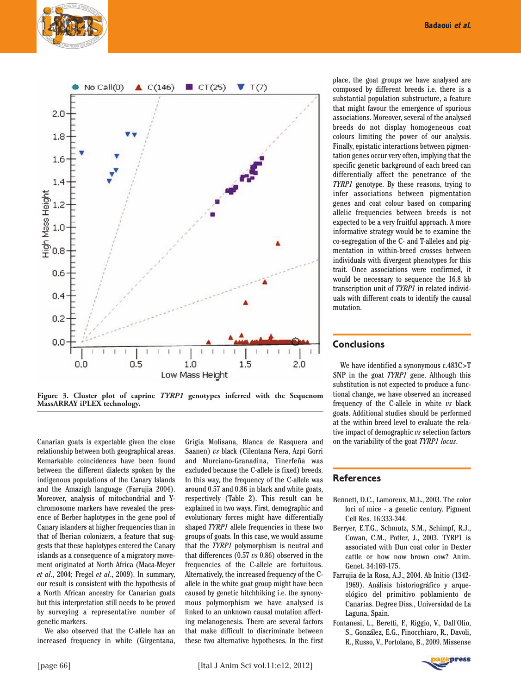

place, the goat groups we have analysed are composed by different breeds i.e. there is a substantial population substructure, a feature that might favour the emergence of spurious associations. Moreover, several of the analysed breeds do not display homogeneous coat colours limiting the power of our analysis. Finally, epistatic interactions between pigmentation genes occur very often, implying that the specific genetic background of each breed can differentially affect the penetrance of the *TYRP1* genotype. By these reasons, trying to infer associations between pigmentation genes and coat colour based on comparing allelic frequencies between breeds is not expected to be a very fruitful approach. A more informative strategy would be to examine the co-segregation of the C- and T-alleles and pigmentation in within-breed crosses between individuals with divergent phenotypes for this trait. Once associations were confirmed, it would be necessary to sequence the 16.8 kb transcription unit of *TYRP1* in related individuals with different coats to identify the causal mutation.

#### **Conclusions**

We have identified a synonymous c.483C>T SNP in the goat *TYRP1* gene. Although this substitution is not expected to produce a functional change, we have observed an increased frequency of the C-allele in white *vs* black goats. Additional studies should be performed at the within breed level to evaluate the relative impact of demographic *vs* selection factors on the variability of the goat *TYRP1 locus*.

#### **References**

- Bennett, D.C., Lamoreux, M.L., 2003. The color loci of mice - a genetic century. Pigment Cell Res. 16:333-344.
- Berryer, E.T.G., Schmutz, S.M., Schimpf, R.J., Cowan, C.M., Potter, J., 2003. TYRP1 is associated with Dun coat color in Dexter cattle or how now brown cow? Anim. Genet. 34:169-175.
- Farrujia de la Rosa, A.J., 2004. Ab Initio (1342- 1969). Análisis historiográfico y arqueológico del primitivo poblamiento de Canarias. Degree Diss., Universidad de La Laguna, Spain.
- Fontanesi, L., Beretti, F., Riggio, V., Dall'Olio, S., González, E.G., Finocchiaro, R., Davoli, R., Russo, V., Portolano, B., 2009. Missense

**Figure 3. Cluster plot of caprine** *TYRP1* **genotypes inferred with the Sequenom MassARRAY iPLEX technology.**

Canarian goats is expectable given the close relationship between both geographical areas. Remarkable coincidences have been found between the different dialects spoken by the indigenous populations of the Canary Islands and the Amazigh language (Farrujia 2004). Moreover, analysis of mitochondrial and Ychromosome markers have revealed the presence of Berber haplotypes in the gene pool of Canary islanders at higher frequencies than in that of Iberian colonizers, a feature that suggests that these haplotypes entered the Canary islands as a consequence of a migratory movement originated at North Africa (Maca-Meyer *et al*., 2004; Fregel *et al*., 2009). In summary, our result is consistent with the hypothesis of a North African ancestry for Canarian goats but this interpretation still needs to be proved by surveying a representative number of genetic markers.

We also observed that the C-allele has an increased frequency in white (Girgentana, Grigia Molisana, Blanca de Rasquera and Saanen) *vs* black (Cilentana Nera, Azpi Gorri and Murciano-Granadina, Tinerfeña was excluded because the C-allele is fixed) breeds. In this way, the frequency of the C-allele was around 0.57 and 0.86 in black and white goats, respectively (Table 2). This result can be explained in two ways. First, demographic and evolutionary forces might have differentially shaped *TYRP1* allele frequencies in these two groups of goats. In this case, we would assume that the *TYRP1* polymorphism is neutral and that differences (0.57 *vs* 0.86) observed in the frequencies of the C-allele are fortuitous. Alternatively, the increased frequency of the Callele in the white goat group might have been caused by genetic hitchhiking i.e. the synonymous polymorphism we have analysed is linked to an unknown causal mutation affecting melanogenesis. There are several factors that make difficult to discriminate between these two alternative hypotheses. In the first